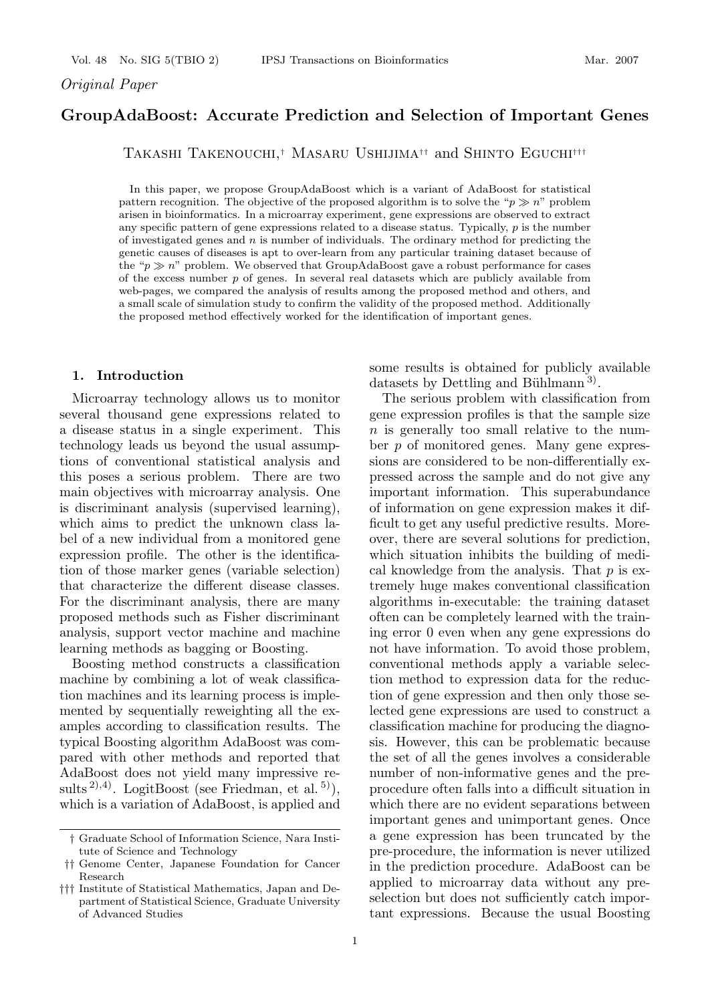## *Original Paper*

# **GroupAdaBoost: Accurate Prediction and Selection of Important Genes**

Takashi Takenouchi,*†* Masaru Ushijima*††* and Shinto Eguchi*†††*

In this paper, we propose GroupAdaBoost which is a variant of AdaBoost for statistical pattern recognition. The objective of the proposed algorithm is to solve the " $p \gg n$ " problem arisen in bioinformatics. In a microarray experiment, gene expressions are observed to extract any specific pattern of gene expressions related to a disease status. Typically, *p* is the number of investigated genes and *n* is number of individuals. The ordinary method for predicting the genetic causes of diseases is apt to over-learn from any particular training dataset because of the " $p \gg n$ " problem. We observed that GroupAdaBoost gave a robust performance for cases of the excess number *p* of genes. In several real datasets which are publicly available from web-pages, we compared the analysis of results among the proposed method and others, and a small scale of simulation study to confirm the validity of the proposed method. Additionally the proposed method effectively worked for the identification of important genes.

### **1. Introduction**

Microarray technology allows us to monitor several thousand gene expressions related to a disease status in a single experiment. This technology leads us beyond the usual assumptions of conventional statistical analysis and this poses a serious problem. There are two main objectives with microarray analysis. One is discriminant analysis (supervised learning), which aims to predict the unknown class label of a new individual from a monitored gene expression profile. The other is the identification of those marker genes (variable selection) that characterize the different disease classes. For the discriminant analysis, there are many proposed methods such as Fisher discriminant analysis, support vector machine and machine learning methods as bagging or Boosting.

Boosting method constructs a classification machine by combining a lot of weak classification machines and its learning process is implemented by sequentially reweighting all the examples according to classification results. The typical Boosting algorithm AdaBoost was compared with other methods and reported that AdaBoost does not yield many impressive results <sup>2</sup>), 4). LogitBoost (see Friedman, et al. <sup>5)</sup>), which is a variation of AdaBoost, is applied and some results is obtained for publicly available datasets by Dettling and Bühlmann<sup>3)</sup>.

The serious problem with classification from gene expression profiles is that the sample size n is generally too small relative to the number  $p$  of monitored genes. Many gene expressions are considered to be non-differentially expressed across the sample and do not give any important information. This superabundance of information on gene expression makes it difficult to get any useful predictive results. Moreover, there are several solutions for prediction, which situation inhibits the building of medical knowledge from the analysis. That  $p$  is extremely huge makes conventional classification algorithms in-executable: the training dataset often can be completely learned with the training error 0 even when any gene expressions do not have information. To avoid those problem, conventional methods apply a variable selection method to expression data for the reduction of gene expression and then only those selected gene expressions are used to construct a classification machine for producing the diagnosis. However, this can be problematic because the set of all the genes involves a considerable number of non-informative genes and the preprocedure often falls into a difficult situation in which there are no evident separations between important genes and unimportant genes. Once a gene expression has been truncated by the pre-procedure, the information is never utilized in the prediction procedure. AdaBoost can be applied to microarray data without any preselection but does not sufficiently catch important expressions. Because the usual Boosting

<sup>†</sup> Graduate School of Information Science, Nara Institute of Science and Technology

<sup>††</sup> Genome Center, Japanese Foundation for Cancer Research

<sup>†††</sup> Institute of Statistical Mathematics, Japan and Department of Statistical Science, Graduate University of Advanced Studies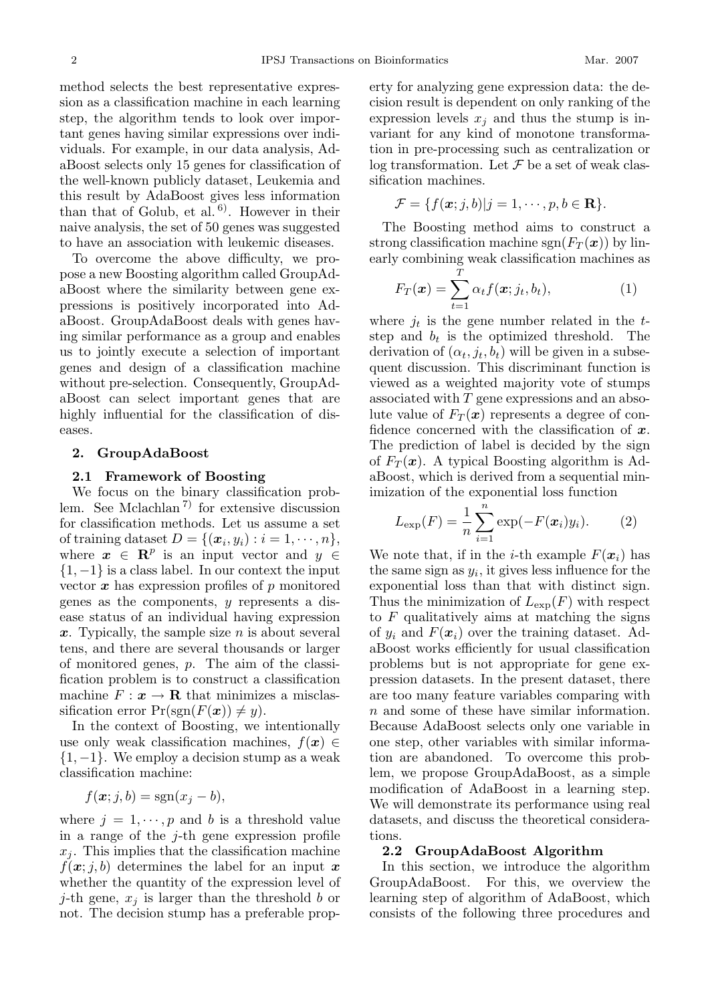method selects the best representative expression as a classification machine in each learning step, the algorithm tends to look over important genes having similar expressions over individuals. For example, in our data analysis, AdaBoost selects only 15 genes for classification of the well-known publicly dataset, Leukemia and this result by AdaBoost gives less information than that of Golub, et al.  $6$ . However in their naive analysis, the set of 50 genes was suggested to have an association with leukemic diseases.

To overcome the above difficulty, we propose a new Boosting algorithm called GroupAdaBoost where the similarity between gene expressions is positively incorporated into AdaBoost. GroupAdaBoost deals with genes having similar performance as a group and enables us to jointly execute a selection of important genes and design of a classification machine without pre-selection. Consequently, GroupAdaBoost can select important genes that are highly influential for the classification of diseases.

#### **2. GroupAdaBoost**

#### **2.1 Framework of Boosting**

We focus on the binary classification problem. See Mclachlan 7) for extensive discussion for classification methods. Let us assume a set of training dataset  $D = \{(\boldsymbol{x}_i, y_i) : i = 1, \dots, n\},\$ where  $x \in \mathbb{R}^p$  is an input vector and  $y \in$  $\{1, -1\}$  is a class label. In our context the input vector  $x$  has expression profiles of  $p$  monitored genes as the components, y represents a disease status of an individual having expression *<sup>x</sup>*. Typically, the sample size n is about several tens, and there are several thousands or larger of monitored genes, p. The aim of the classification problem is to construct a classification machine  $F: \mathbf{x} \to \mathbf{R}$  that minimizes a misclassification error  $Pr(sgn(F(x)) \neq y)$ .

In the context of Boosting, we intentionally use only weak classification machines,  $f(x) \in$  $\{1, -1\}$ . We employ a decision stump as a weak classification machine:

$$
f(\boldsymbol{x};j,b) = \operatorname{sgn}(x_j - b),
$$

where  $j = 1, \dots, p$  and b is a threshold value in a range of the  $j$ -th gene expression profile  $x_j$ . This implies that the classification machine  $f(x, j, b)$  determines the label for an input x whether the quantity of the expression level of *j*-th gene,  $x_j$  is larger than the threshold b or not. The decision stump has a preferable property for analyzing gene expression data: the decision result is dependent on only ranking of the expression levels  $x_j$  and thus the stump is invariant for any kind of monotone transformation in pre-processing such as centralization or log transformation. Let  $\mathcal F$  be a set of weak classification machines.

$$
\mathcal{F} = \{f(\boldsymbol{x};j,b)|j=1,\cdots,p,b\in\mathbf{R}\}.
$$

The Boosting method aims to construct a strong classification machine  $sgn(F_T(\boldsymbol{x}))$  by linearly combining weak classification machines as

$$
F_T(\boldsymbol{x}) = \sum_{t=1}^T \alpha_t f(\boldsymbol{x}; j_t, b_t),\tag{1}
$$

where  $j_t$  is the gene number related in the  $t$ -<br>step and  $h_t$  is the optimized threshold. The step and  $b_t$  is the optimized threshold. The derivation of  $(\alpha_t, j_t, b_t)$  will be given in a subsequent discussion. This discriminant function is viewed as a weighted majority vote of stumps associated with  $T$  gene expressions and an absolute value of  $F_T(\mathbf{x})$  represents a degree of confidence concerned with the classification of *x*. The prediction of label is decided by the sign of  $F_T(x)$ . A typical Boosting algorithm is AdaBoost, which is derived from a sequential minimization of the exponential loss function

$$
L_{\exp}(F) = \frac{1}{n} \sum_{i=1}^{n} \exp(-F(\boldsymbol{x}_i)y_i).
$$
 (2)

We note that, if in the *i*-th example  $F(\mathbf{x}_i)$  has<br>the same sign as  $y_i$  it gives less influence for the the same sign as  $y_i$ , it gives less influence for the exponential loss than that with distinct sign. Thus the minimization of  $L_{\text{exp}}(F)$  with respect to  $F$  qualitatively aims at matching the signs of  $y_i$  and  $F(x_i)$  over the training dataset. AdaBoost works efficiently for usual classification problems but is not appropriate for gene expression datasets. In the present dataset, there are too many feature variables comparing with n and some of these have similar information. Because AdaBoost selects only one variable in one step, other variables with similar information are abandoned. To overcome this problem, we propose GroupAdaBoost, as a simple modification of AdaBoost in a learning step. We will demonstrate its performance using real datasets, and discuss the theoretical considerations.

#### **2.2 GroupAdaBoost Algorithm**

In this section, we introduce the algorithm GroupAdaBoost. For this, we overview the learning step of algorithm of AdaBoost, which consists of the following three procedures and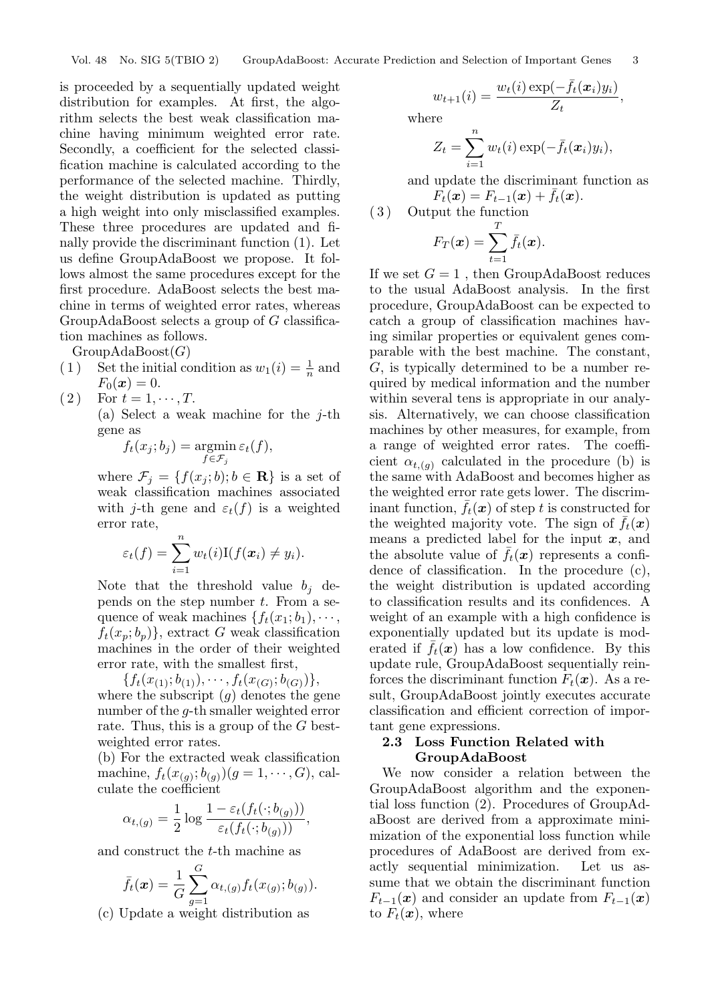is proceeded by a sequentially updated weight distribution for examples. At first, the algorithm selects the best weak classification machine having minimum weighted error rate. Secondly, a coefficient for the selected classification machine is calculated according to the performance of the selected machine. Thirdly, the weight distribution is updated as putting a high weight into only misclassified examples. These three procedures are updated and finally provide the discriminant function (1). Let us define GroupAdaBoost we propose. It follows almost the same procedures except for the first procedure. AdaBoost selects the best machine in terms of weighted error rates, whereas GroupAdaBoost selects a group of G classification machines as follows.

GroupAdaBoost $(G)$ <br>(1) Set the initial co

- (1) Set the initial condition as  $w_1(i) = \frac{1}{n}$  and  $F_0(x) = 0$  $F_0(x) = 0.$
- $(2)$  For  $t = 1, \dots, T$ .

(a) Select a weak machine for the  $j$ -th gene as

$$
f_t(x_j; b_j) = \operatorname*{argmin}_{f \in \mathcal{F}_j} \varepsilon_t(f),
$$

where  $\mathcal{F}_j = \{f(x_j; b); b \in \mathbf{R}\}\$ is a set of weak classification machines associated with j-th gene and  $\varepsilon_t(f)$  is a weighted error rate,  $\boldsymbol{v}$ 

$$
\varepsilon_t(f) = \sum_{i=1}^{\infty} w_t(i) \mathbf{I}(f(\mathbf{x}_i) \neq y_i).
$$

Note that the threshold value  $b_j$  depends on the step number t. From a sepends on the step number  $t$ . From a sequence of weak machines  $\{f_t(x_1; b_1), \cdots, f_t(x_n)\}$  $f_t(x_p; b_p)$ , extract G weak classification machines in the order of their weighted error rate, with the smallest first,

 ${f_t(x_{(1)}; b_{(1)}), \cdots, f_t(x_{(G)}; b_{(G)})},$ 

where the subscript  $(g)$  denotes the gene number of the g-th smaller weighted error rate. Thus, this is a group of the  $G$  bestweighted error rates.

(b) For the extracted weak classification machine,  $f_t(x_{(q)}; b_{(q)})(g = 1, \dots, G)$ , calculate the coefficient

$$
\alpha_{t,(g)} = \frac{1}{2} \log \frac{1 - \varepsilon_t(f_t(\cdot; b_{(g)}))}{\varepsilon_t(f_t(\cdot; b_{(g)}))},
$$

and construct the t-th machine as

$$
\bar{f}_t(\bm{x}) = \frac{1}{G} \sum_{g=1}^G \alpha_{t,(g)} f_t(x_{(g)}; b_{(g)}).
$$

(c) Update a weight distribution as

$$
w_{t+1}(i) = \frac{w_t(i) \exp(-\bar{f}_t(\bm{x}_i) y_i)}{Z_t},
$$

where

$$
Z_t = \sum_{i=1}^n w_t(i) \exp(-\bar{f}_t(\boldsymbol{x}_i) y_i),
$$

 $i=1$ <br>and update the discriminant function as  $F_t(\bm{x}) = F_{t-1}(\bm{x}) + \bar{f}_t(\bm{x}).$ 

( 3 ) Output the function

$$
F_T(\boldsymbol{x}) = \sum_{t=1}^r \bar{f}_t(\boldsymbol{x}).
$$

If we set  $G = 1$ , then GroupAdaBoost reduces<br>to the usual AdaBoost analysis. In the first to the usual AdaBoost analysis. In the first procedure, GroupAdaBoost can be expected to catch a group of classification machines having similar properties or equivalent genes comparable with the best machine. The constant, G, is typically determined to be a number required by medical information and the number within several tens is appropriate in our analysis. Alternatively, we can choose classification machines by other measures, for example, from a range of weighted error rates. The coefficient  $\alpha_{t,(g)}$  calculated in the procedure (b) is the same with AdaBoost and becomes higher as the weighted error rate gets lower. The discriminant function,  $f_t(x)$  of step t is constructed for the weighted majority vote. The sign of  $f_t(x)$ means a predicted label for the input *x*, and the absolute value of  $f_t(x)$  represents a confidence of classification. In the procedure (c), the weight distribution is updated according to classification results and its confidences. A weight of an example with a high confidence is exponentially updated but its update is moderated if  $f_t(x)$  has a low confidence. By this update rule, GroupAdaBoost sequentially reinforces the discriminant function  $F_t(\mathbf{x})$ . As a result, GroupAdaBoost jointly executes accurate classification and efficient correction of important gene expressions.

## **2.3 Loss Function Related with GroupAdaBoost**

We now consider a relation between the GroupAdaBoost algorithm and the exponential loss function (2). Procedures of GroupAdaBoost are derived from a approximate minimization of the exponential loss function while procedures of AdaBoost are derived from exactly sequential minimization. Let us assume that we obtain the discriminant function  $F_{t-1}(\boldsymbol{x})$  and consider an update from  $F_{t-1}(\boldsymbol{x})$ to  $F_t(\boldsymbol{x})$ , where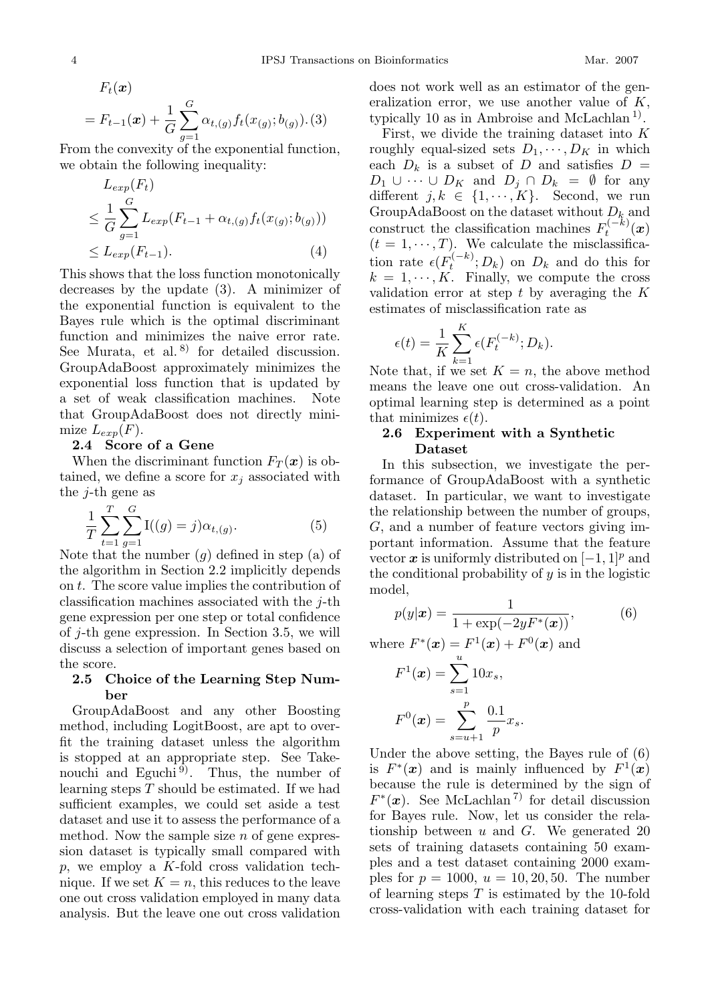$$
F_t(\mathbf{x})
$$
  
=  $F_{t-1}(\mathbf{x}) + \frac{1}{G} \sum_{g=1}^{G} \alpha_{t,(g)} f_t(x_{(g)}; b_{(g)})$ . (3)  
From the convexity of the exponential function,

we obtain the following inequality:

$$
L_{exp}(F_t)
$$
  
\n
$$
\leq \frac{1}{G} \sum_{g=1}^{G} L_{exp}(F_{t-1} + \alpha_{t,(g)} f_t(x_{(g)}; b_{(g)}))
$$
  
\n
$$
\leq L_{exp}(F_{t-1}). \tag{4}
$$

This shows that the loss function monotonically decreases by the update (3). A minimizer of the exponential function is equivalent to the Bayes rule which is the optimal discriminant function and minimizes the naive error rate. See Murata, et al.<sup>8)</sup> for detailed discussion. GroupAdaBoost approximately minimizes the exponential loss function that is updated by a set of weak classification machines. Note that GroupAdaBoost does not directly minimize  $L_{exp}(F)$ .

### **2.4 Score of a Gene**

When the discriminant function  $F_T(x)$  is obtained, we define a score for  $x_j$  associated with the  $i$ -th gene as

$$
\frac{1}{T} \sum_{t=1}^{T} \sum_{g=1}^{G} \mathcal{I}((g) = j) \alpha_{t,(g)}.
$$
 (5)

Note that the number  $(g)$  defined in step (a) of<br>the algorithm in Section 2.2 implicitly depends the algorithm in Section 2.2 implicitly depends on t. The score value implies the contribution of classification machines associated with the  $i$ -th gene expression per one step or total confidence of j-th gene expression. In Section 3.5, we will discuss a selection of important genes based on the score.

### **2.5 Choice of the Learning Step Number**

GroupAdaBoost and any other Boosting method, including LogitBoost, are apt to overfit the training dataset unless the algorithm is stopped at an appropriate step. See Takenouchi and Eguchi<sup>9)</sup>. Thus, the number of learning steps  $T$  should be estimated. If we had sufficient examples, we could set aside a test dataset and use it to assess the performance of a method. Now the sample size  $n$  of gene expression dataset is typically small compared with  $p$ , we employ a K-fold cross validation technique. If we set  $K = n$ , this reduces to the leave one out cross validation employed in many data analysis. But the leave one out cross validation

does not work well as an estimator of the generalization error, we use another value of  $K$ , typically 10 as in Ambroise and McLachlan<sup>1)</sup>.

First, we divide the training dataset into  $K$ roughly equal-sized sets  $D_1, \dots, D_K$  in which each  $D_k$  is a subset of D and satisfies  $D =$  $D_1 \cup \cdots \cup D_K$  and  $D_j \cap D_k = \emptyset$  for any different  $j, k \in \{1, \dots, K\}$ . Second, we run GroupAdaBoost on the dataset without <sup>D</sup>*k* and construct the classification machines  $F_t^{(-k)}(x)$  $t_t^{(-\kappa)}(x)$  $(t = 1, \dots, T)$ . We calculate the misclassifica-<br>tion rate  $e^{(F^{(-k)} \cdot D_k)}$  on  $D_k$  and do this for tion rate  $\epsilon(F_t^{(-k)}; D_k)$  on  $D_k$  and do this for  $k = 1, \dots, K$  Finally we compute the cross  $k = 1, \cdots, K$ . Finally, we compute the cross validation error at step  $t$  by averaging the  $K$ estimates of misclassification rate as

$$
\epsilon(t) = \frac{1}{K} \sum_{k=1}^{K} \epsilon(F_t^{(-k)}; D_k).
$$

Note that, if we set  $K = n$ , the above method<br>means the leave one out cross-validation. An means the leave one out cross-validation. An optimal learning step is determined as a point that minimizes  $\epsilon(t)$ .

## **2.6 Experiment with a Synthetic Dataset**

In this subsection, we investigate the performance of GroupAdaBoost with a synthetic dataset. In particular, we want to investigate the relationship between the number of groups, G, and a number of feature vectors giving important information. Assume that the feature vector  $x$  is uniformly distributed on  $[-1, 1]^p$  and the conditional probability of  $y$  is in the logistic model,

$$
p(y|\mathbf{x}) = \frac{1}{1 + \exp(-2yF^*(\mathbf{x}))},\tag{6}
$$

where  $F^*(x) = F^1(x) + F^0(x)$  and

$$
F^{1}(\boldsymbol{x}) = \sum_{s=1}^{u} 10x_{s},
$$

$$
F^{0}(\boldsymbol{x}) = \sum_{s=u+1}^{p} \frac{0.1}{p} x_{s}.
$$

Under the above setting, the Bayes rule of (6) is  $F^*(x)$  and is mainly influenced by  $F^1(x)$ because the rule is determined by the sign of  $F^*(x)$ . See McLachlan<sup>7</sup> for detail discussion for Bayes rule. Now, let us consider the relationship between  $u$  and  $G$ . We generated 20 sets of training datasets containing 50 examples and a test dataset containing 2000 examples for  $p = 1000$ ,  $u = 10, 20, 50$ . The number of learning steps  $T$  is estimated by the 10-fold cross-validation with each training dataset for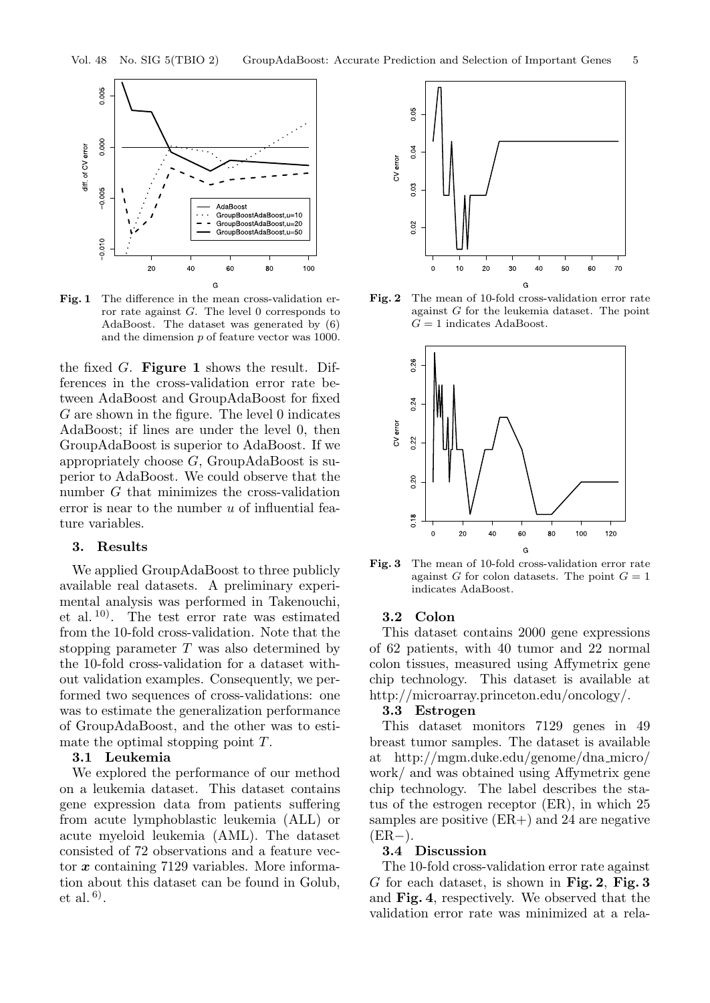

**Fig. 1** The difference in the mean cross-validation error rate against *G*. The level 0 corresponds to AdaBoost. The dataset was generated by (6) and the dimension *p* of feature vector was 1000.

the fixed G. **Figure 1** shows the result. Differences in the cross-validation error rate between AdaBoost and GroupAdaBoost for fixed  $G$  are shown in the figure. The level  $0$  indicates AdaBoost; if lines are under the level 0, then GroupAdaBoost is superior to AdaBoost. If we appropriately choose G, GroupAdaBoost is superior to AdaBoost. We could observe that the number G that minimizes the cross-validation error is near to the number  $u$  of influential feature variables.

## **3. Results**

We applied GroupAdaBoost to three publicly available real datasets. A preliminary experimental analysis was performed in Takenouchi, et al. 10). The test error rate was estimated from the 10-fold cross-validation. Note that the stopping parameter  $T$  was also determined by the 10-fold cross-validation for a dataset without validation examples. Consequently, we performed two sequences of cross-validations: one was to estimate the generalization performance of GroupAdaBoost, and the other was to estimate the optimal stopping point T.

### **3.1 Leukemia**

We explored the performance of our method on a leukemia dataset. This dataset contains gene expression data from patients suffering from acute lymphoblastic leukemia (ALL) or acute myeloid leukemia (AML). The dataset consisted of 72 observations and a feature vector *x* containing 7129 variables. More information about this dataset can be found in Golub, et al.  $^{6}$ .



**Fig. 2** The mean of 10-fold cross-validation error rate against *G* for the leukemia dataset. The point  $G = 1$  indicates AdaBoost.



**Fig. 3** The mean of 10-fold cross-validation error rate against *G* for colon datasets. The point  $G = 1$ indicates AdaBoost.

## **3.2 Colon**

This dataset contains 2000 gene expressions of 62 patients, with 40 tumor and 22 normal colon tissues, measured using Affymetrix gene chip technology. This dataset is available at http://microarray.princeton.edu/oncology/.

### **3.3 Estrogen**

This dataset monitors 7129 genes in 49 breast tumor samples. The dataset is available at http://mgm.duke.edu/genome/dna micro/ work/ and was obtained using Affymetrix gene chip technology. The label describes the status of the estrogen receptor (ER), in which 25 samples are positive (ER+) and 24 are negative  $(ER-)$ .

#### **3.4 Discussion**

The 10-fold cross-validation error rate against G for each dataset, is shown in **Fig. 2**, **Fig. 3** and **Fig. 4**, respectively. We observed that the validation error rate was minimized at a rela-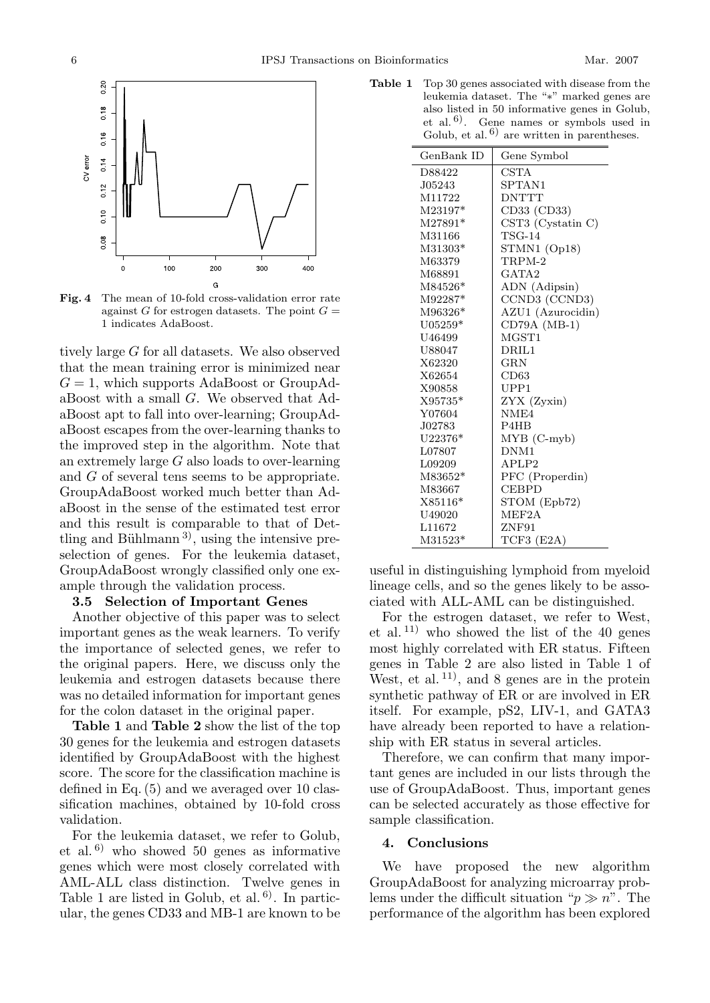

**Fig. 4** The mean of 10-fold cross-validation error rate against *G* for estrogen datasets. The point  $G =$ 1 indicates AdaBoost.

tively large G for all datasets. We also observed that the mean training error is minimized near  $G = 1$ , which supports AdaBoost or GroupAdaBoost with a small G. We observed that AdaBoost apt to fall into over-learning; GroupAdaBoost escapes from the over-learning thanks to the improved step in the algorithm. Note that an extremely large G also loads to over-learning and G of several tens seems to be appropriate. GroupAdaBoost worked much better than AdaBoost in the sense of the estimated test error and this result is comparable to that of Dettling and Bühlmann<sup>3)</sup>, using the intensive preselection of genes. For the leukemia dataset, GroupAdaBoost wrongly classified only one example through the validation process.

### **3.5 Selection of Important Genes**

Another objective of this paper was to select important genes as the weak learners. To verify the importance of selected genes, we refer to the original papers. Here, we discuss only the leukemia and estrogen datasets because there was no detailed information for important genes for the colon dataset in the original paper.

**Table 1** and **Table 2** show the list of the top 30 genes for the leukemia and estrogen datasets identified by GroupAdaBoost with the highest score. The score for the classification machine is defined in Eq. (5) and we averaged over 10 classification machines, obtained by 10-fold cross validation.

For the leukemia dataset, we refer to Golub, et al.  $6$ ) who showed 50 genes as informative genes which were most closely correlated with AML-ALL class distinction. Twelve genes in Table 1 are listed in Golub, et al.  $6$ . In particular, the genes CD33 and MB-1 are known to be

**Table 1** Top 30 genes associated with disease from the leukemia dataset. The "∗" marked genes are also listed in 50 informative genes in Golub, et al.<sup> $6$ </sup>. Gene names or symbols used in Golub, et al.  $6$  are written in parentheses.

| GenBank ID | Gene Symbol       |
|------------|-------------------|
| D88422     | <b>CSTA</b>       |
| J05243     | SPTAN1            |
| M11722     | <b>DNTTT</b>      |
| M23197*    | CD33 (CD33)       |
| $M27891*$  | CST3 (Cystatin C) |
| M31166     | $TSG-14$          |
| M31303*    | STMN1 (Op18)      |
| M63379     | $TRPM-2$          |
| M68891     | GATA <sub>2</sub> |
| M84526*    | ADN (Adipsin)     |
| M92287*    | CCND3 (CCND3)     |
| M96326*    | AZU1 (Azurocidin) |
| $U05259*$  | $CD79A (MB-1)$    |
| U46499     | MGST1             |
| U88047     | DRIL1             |
| X62320     | $_{\rm GRN}$      |
| X62654     | CD63              |
| X90858     | UPP1              |
| X95735*    | ZYX (Zyxin)       |
| Y07604     | NME4              |
| J02783     | P4HB              |
| $U22376*$  | $MYB$ (C-myb)     |
| L07807     | DNM1              |
| L09209     | APLP <sub>2</sub> |
| M83652*    | PFC (Properdin)   |
| M83667     | <b>CEBPD</b>      |
| $X85116*$  | STOM (Epb72)      |
| U49020     | MEF2A             |
| L11672     | ZNF91             |
| M31523*    | TCF3 (E2A)        |

useful in distinguishing lymphoid from myeloid lineage cells, and so the genes likely to be associated with ALL-AML can be distinguished.

For the estrogen dataset, we refer to West, et al.<sup>11)</sup> who showed the list of the 40 genes most highly correlated with ER status. Fifteen genes in Table 2 are also listed in Table 1 of West, et al.  $11$ , and 8 genes are in the protein synthetic pathway of ER or are involved in ER itself. For example, pS2, LIV-1, and GATA3 have already been reported to have a relationship with ER status in several articles.

Therefore, we can confirm that many important genes are included in our lists through the use of GroupAdaBoost. Thus, important genes can be selected accurately as those effective for sample classification.

## **4. Conclusions**

We have proposed the new algorithm GroupAdaBoost for analyzing microarray problems under the difficult situation " $p \gg n$ ". The performance of the algorithm has been explored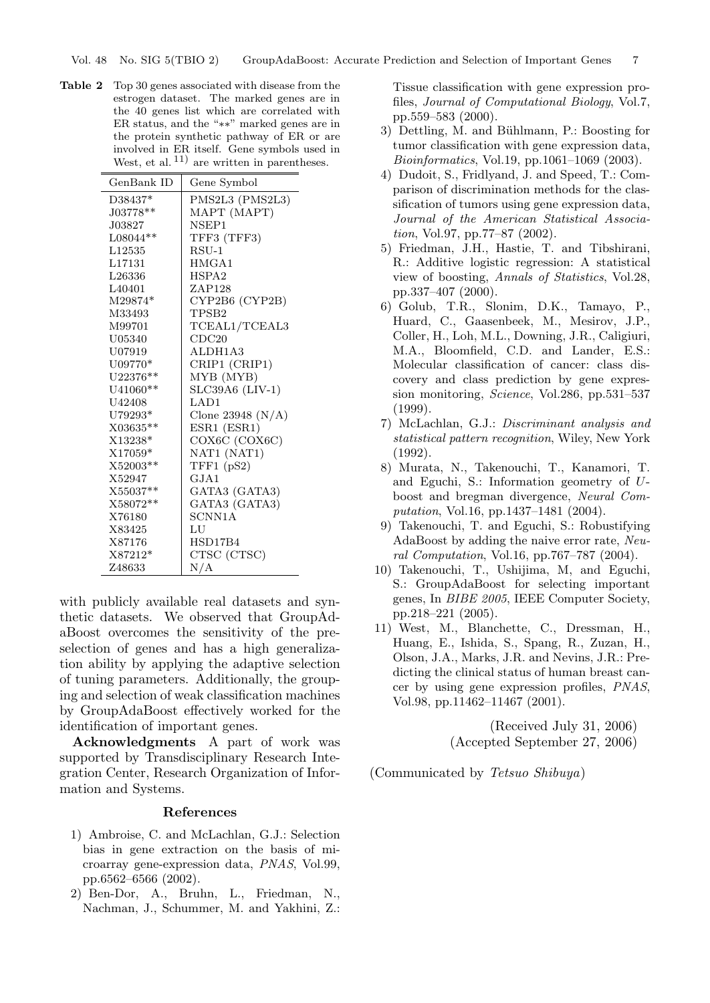**Table 2** Top 30 genes associated with disease from the estrogen dataset. The marked genes are in the 40 genes list which are correlated with ER status, and the "∗∗" marked genes are in the protein synthetic pathway of ER or are involved in ER itself. Gene symbols used in West, et al.  $^{11)}$  are written in parentheses.

| GenBank ID | Gene Symbol         |
|------------|---------------------|
| D38437*    | PMS2L3 (PMS2L3)     |
| J03778**   | MAPT (MAPT)         |
| J03827     | NSEP1               |
| L08044**   | TFF3 (TFF3)         |
| L12535     | RSU-1               |
| L17131     | HMGA1               |
| L26336     | HSPA2               |
| L40401     | ZAP128              |
| M29874*    | CYP2B6 (CYP2B)      |
| M33493     | TPSB2               |
| M99701     | TCEAL1/TCEAL3       |
| U05340     | CDC20               |
| U07919     | ALDH1A3             |
| $U09770*$  | CRIP1 (CRIP1)       |
| $U22376**$ | MYB (MYB)           |
| U41060**   | $SLC39A6$ (LIV-1)   |
| U42408     | LAD1                |
| U79293*    | Clone 23948 $(N/A)$ |
| X03635**   | ESR1 (ESR1)         |
| X13238*    | COX6C (COX6C)       |
| X17059*    | NAT1 (NAT1)         |
| X52003**   | TFF1(pS2)           |
| X52947     | GJA1                |
| X55037**   | GATA3 (GATA3)       |
| X58072**   | GATA3 (GATA3)       |
| X76180     | SCNN1A              |
| X83425     | LU                  |
| X87176     | HSD17B4             |
| X87212*    | CTSC (CTSC)         |
| Z48633     | N/A                 |

with publicly available real datasets and synthetic datasets. We observed that GroupAdaBoost overcomes the sensitivity of the preselection of genes and has a high generalization ability by applying the adaptive selection of tuning parameters. Additionally, the grouping and selection of weak classification machines by GroupAdaBoost effectively worked for the identification of important genes.

**Acknowledgments** A part of work was supported by Transdisciplinary Research Integration Center, Research Organization of Information and Systems.

#### **References**

- 1) Ambroise, C. and McLachlan, G.J.: Selection bias in gene extraction on the basis of microarray gene-expression data, *PNAS*, Vol.99, pp.6562–6566 (2002).
- 2) Ben-Dor, A., Bruhn, L., Friedman, N., Nachman, J., Schummer, M. and Yakhini, Z.:

Tissue classification with gene expression profiles, *Journal of Computational Biology*, Vol.7, pp.559–583 (2000).

- 3) Dettling, M. and Bühlmann, P.: Boosting for tumor classification with gene expression data, *Bioinformatics*, Vol.19, pp.1061–1069 (2003).
- 4) Dudoit, S., Fridlyand, J. and Speed, T.: Comparison of discrimination methods for the classification of tumors using gene expression data, *Journal of the American Statistical Association*, Vol.97, pp.77–87 (2002).
- 5) Friedman, J.H., Hastie, T. and Tibshirani, R.: Additive logistic regression: A statistical view of boosting, *Annals of Statistics*, Vol.28, pp.337–407 (2000).
- 6) Golub, T.R., Slonim, D.K., Tamayo, P., Huard, C., Gaasenbeek, M., Mesirov, J.P., Coller, H., Loh, M.L., Downing, J.R., Caligiuri, M.A., Bloomfield, C.D. and Lander, E.S.: Molecular classification of cancer: class discovery and class prediction by gene expression monitoring, *Science*, Vol.286, pp.531–537 (1999).
- 7) McLachlan, G.J.: *Discriminant analysis and statistical pattern recognition*, Wiley, New York (1992).
- 8) Murata, N., Takenouchi, T., Kanamori, T. and Eguchi, S.: Information geometry of *U*boost and bregman divergence, *Neural Computation*, Vol.16, pp.1437–1481 (2004).
- 9) Takenouchi, T. and Eguchi, S.: Robustifying AdaBoost by adding the naive error rate, *Neural Computation*, Vol.16, pp.767–787 (2004).
- 10) Takenouchi, T., Ushijima, M, and Eguchi, S.: GroupAdaBoost for selecting important genes, In *BIBE 2005*, IEEE Computer Society, pp.218–221 (2005).
- 11) West, M., Blanchette, C., Dressman, H., Huang, E., Ishida, S., Spang, R., Zuzan, H., Olson, J.A., Marks, J.R. and Nevins, J.R.: Predicting the clinical status of human breast cancer by using gene expression profiles, *PNAS*, Vol.98, pp.11462–11467 (2001).

(Received July 31, 2006) (Accepted September 27, 2006)

(Communicated by *Tetsuo Shibuya*)